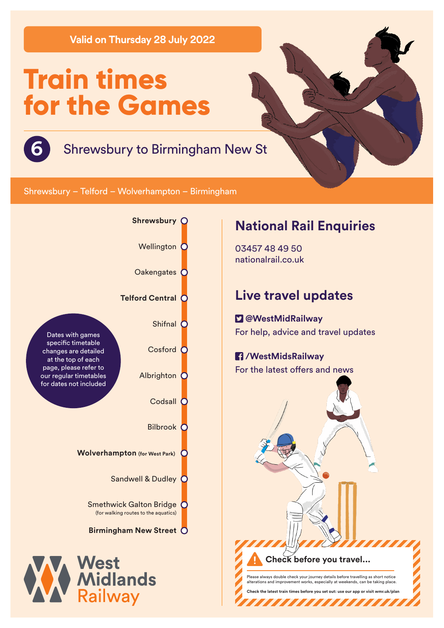**Valid on Thursday 28 July 2022**

# **Train times for the Games**



# **6** Shrewsbury to Birmingham New St

Shrewsbury – Telford – Wolverhampton – Birmingham



# **National Rail Enquiries**

03457 48 49 50 nationalrail.co.uk

# **Live travel updates**

 **@WestMidRailway** For help, advice and travel updates

### **/WestMidsRailway** For the latest offers and news